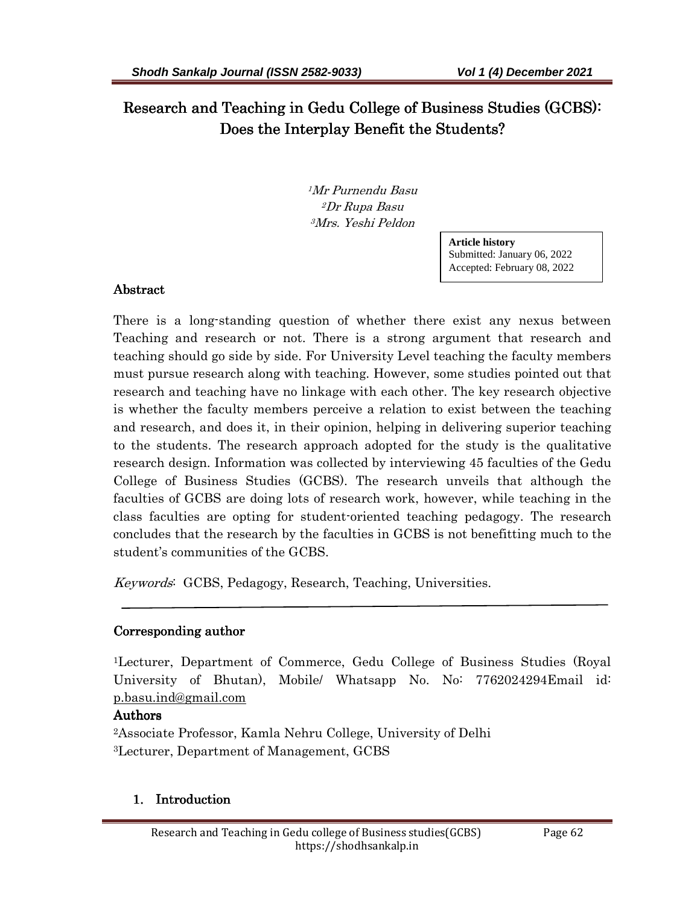Research and Teaching in Gedu College of Business Studies (GCBS): Does the Interplay Benefit the Students?

> <sup>1</sup>Mr Purnendu Basu <sup>2</sup>Dr Rupa Basu <sup>3</sup>Mrs. Yeshi Peldon

> > **Article history**  Submitted: January 06, 2022 Accepted: February 08, 2022

### **Abstract**

There is a long-standing question of whether there exist any nexus between Teaching and research or not. There is a strong argument that research and teaching should go side by side. For University Level teaching the faculty members must pursue research along with teaching. However, some studies pointed out that research and teaching have no linkage with each other. The key research objective is whether the faculty members perceive a relation to exist between the teaching and research, and does it, in their opinion, helping in delivering superior teaching to the students. The research approach adopted for the study is the qualitative research design. Information was collected by interviewing 45 faculties of the Gedu College of Business Studies (GCBS). The research unveils that although the faculties of GCBS are doing lots of research work, however, while teaching in the class faculties are opting for student-oriented teaching pedagogy. The research concludes that the research by the faculties in GCBS is not benefitting much to the student's communities of the GCBS.

Keywords: GCBS, Pedagogy, Research, Teaching, Universities.

## Corresponding author

<sup>1</sup>Lecturer, Department of Commerce, Gedu College of Business Studies (Royal University of Bhutan), Mobile/ Whatsapp No. No: 7762024294Email id: p.basu.ind@gmail.com

## Authors

<sup>2</sup>Associate Professor, Kamla Nehru College, University of Delhi <sup>3</sup>Lecturer, Department of Management, GCBS

## 1. Introduction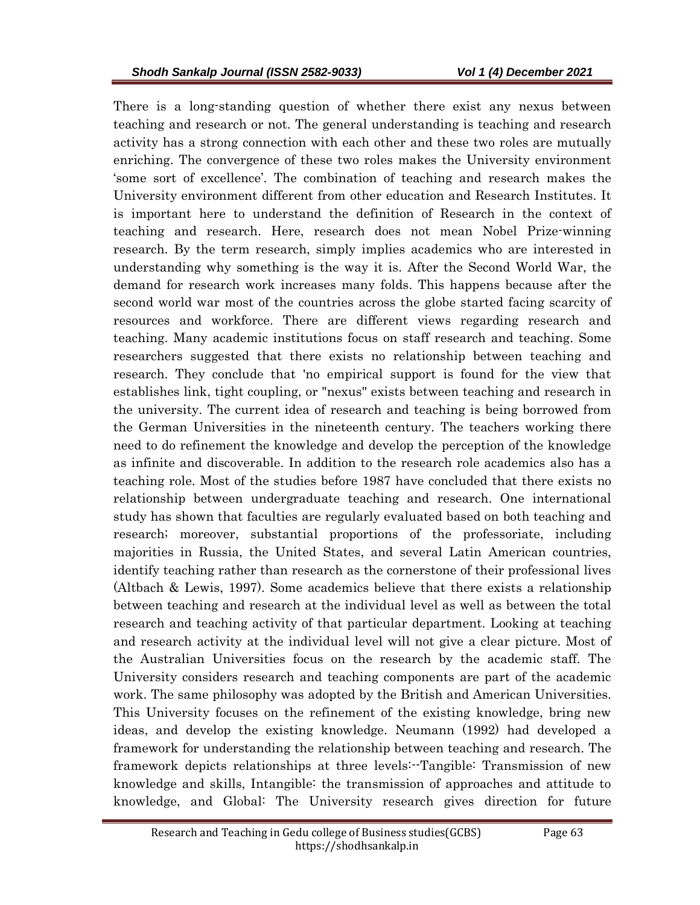There is a long-standing question of whether there exist any nexus between teaching and research or not. The general understanding is teaching and research activity has a strong connection with each other and these two roles are mutually enriching. The convergence of these two roles makes the University environment 'some sort of excellence'. The combination of teaching and research makes the University environment different from other education and Research Institutes. It is important here to understand the definition of Research in the context of teaching and research. Here, research does not mean Nobel Prize-winning research. By the term research, simply implies academics who are interested in understanding why something is the way it is. After the Second World War, the demand for research work increases many folds. This happens because after the second world war most of the countries across the globe started facing scarcity of resources and workforce. There are different views regarding research and teaching. Many academic institutions focus on staff research and teaching. Some researchers suggested that there exists no relationship between teaching and research. They conclude that 'no empirical support is found for the view that establishes link, tight coupling, or "nexus" exists between teaching and research in the university. The current idea of research and teaching is being borrowed from the German Universities in the nineteenth century. The teachers working there need to do refinement the knowledge and develop the perception of the knowledge as infinite and discoverable. In addition to the research role academics also has a teaching role. Most of the studies before 1987 have concluded that there exists no relationship between undergraduate teaching and research. One international study has shown that faculties are regularly evaluated based on both teaching and research; moreover, substantial proportions of the professoriate, including majorities in Russia, the United States, and several Latin American countries, identify teaching rather than research as the cornerstone of their professional lives (Altbach & Lewis, 1997). Some academics believe that there exists a relationship between teaching and research at the individual level as well as between the total research and teaching activity of that particular department. Looking at teaching and research activity at the individual level will not give a clear picture. Most of the Australian Universities focus on the research by the academic staff. The University considers research and teaching components are part of the academic work. The same philosophy was adopted by the British and American Universities. This University focuses on the refinement of the existing knowledge, bring new ideas, and develop the existing knowledge. Neumann (1992) had developed a framework for understanding the relationship between teaching and research. The framework depicts relationships at three levels:--Tangible: Transmission of new knowledge and skills, Intangible: the transmission of approaches and attitude to knowledge, and Global: The University research gives direction for future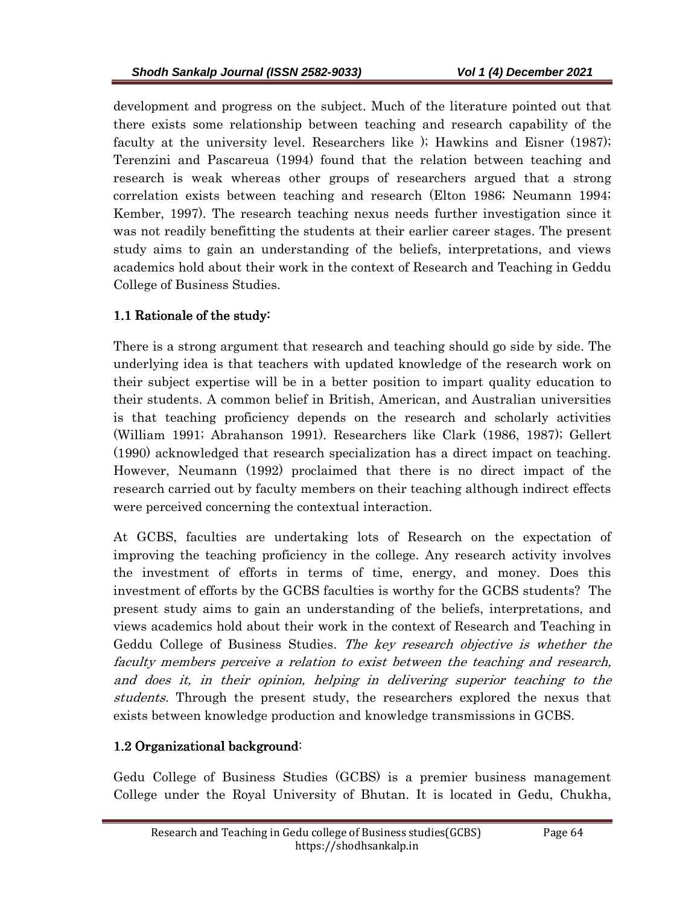development and progress on the subject. Much of the literature pointed out that there exists some relationship between teaching and research capability of the faculty at the university level. Researchers like ); Hawkins and Eisner (1987); Terenzini and Pascareua (1994) found that the relation between teaching and research is weak whereas other groups of researchers argued that a strong correlation exists between teaching and research (Elton 1986; Neumann 1994; Kember, 1997). The research teaching nexus needs further investigation since it was not readily benefitting the students at their earlier career stages. The present study aims to gain an understanding of the beliefs, interpretations, and views academics hold about their work in the context of Research and Teaching in Geddu College of Business Studies.

# 1.1 Rationale of the study:

There is a strong argument that research and teaching should go side by side. The underlying idea is that teachers with updated knowledge of the research work on their subject expertise will be in a better position to impart quality education to their students. A common belief in British, American, and Australian universities is that teaching proficiency depends on the research and scholarly activities (William 1991; Abrahanson 1991). Researchers like Clark (1986, 1987); Gellert (1990) acknowledged that research specialization has a direct impact on teaching. However, Neumann (1992) proclaimed that there is no direct impact of the research carried out by faculty members on their teaching although indirect effects were perceived concerning the contextual interaction.

At GCBS, faculties are undertaking lots of Research on the expectation of improving the teaching proficiency in the college. Any research activity involves the investment of efforts in terms of time, energy, and money. Does this investment of efforts by the GCBS faculties is worthy for the GCBS students? The present study aims to gain an understanding of the beliefs, interpretations, and views academics hold about their work in the context of Research and Teaching in Geddu College of Business Studies. The key research objective is whether the faculty members perceive a relation to exist between the teaching and research, and does it, in their opinion, helping in delivering superior teaching to the students. Through the present study, the researchers explored the nexus that exists between knowledge production and knowledge transmissions in GCBS.

## $1.2$  Organizational background:

Gedu College of Business Studies (GCBS) is a premier business management College under the Royal University of Bhutan. It is located in Gedu, Chukha,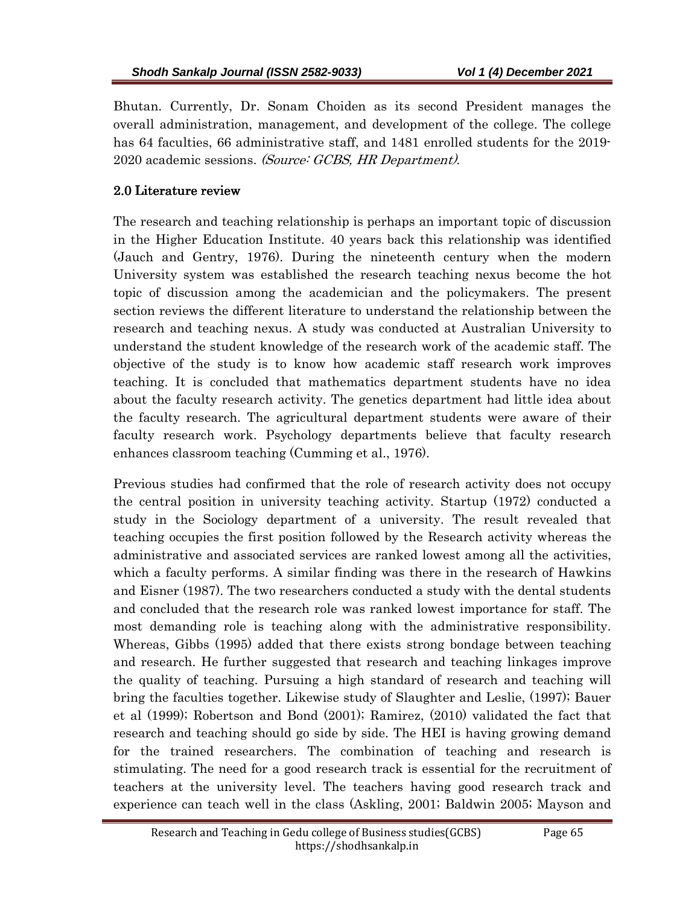Bhutan. Currently, Dr. Sonam Choiden as its second President manages the overall administration, management, and development of the college. The college has 64 faculties, 66 administrative staff, and 1481 enrolled students for the 2019- 2020 academic sessions. (Source: GCBS, HR Department).

# 2.0 Literature review

The research and teaching relationship is perhaps an important topic of discussion in the Higher Education Institute. 40 years back this relationship was identified (Jauch and Gentry, 1976). During the nineteenth century when the modern University system was established the research teaching nexus become the hot topic of discussion among the academician and the policymakers. The present section reviews the different literature to understand the relationship between the research and teaching nexus. A study was conducted at Australian University to understand the student knowledge of the research work of the academic staff. The objective of the study is to know how academic staff research work improves teaching. It is concluded that mathematics department students have no idea about the faculty research activity. The genetics department had little idea about the faculty research. The agricultural department students were aware of their faculty research work. Psychology departments believe that faculty research enhances classroom teaching (Cumming et al., 1976).

Previous studies had confirmed that the role of research activity does not occupy the central position in university teaching activity. Startup (1972) conducted a study in the Sociology department of a university. The result revealed that teaching occupies the first position followed by the Research activity whereas the administrative and associated services are ranked lowest among all the activities, which a faculty performs. A similar finding was there in the research of Hawkins and Eisner (1987). The two researchers conducted a study with the dental students and concluded that the research role was ranked lowest importance for staff. The most demanding role is teaching along with the administrative responsibility. Whereas, Gibbs (1995) added that there exists strong bondage between teaching and research. He further suggested that research and teaching linkages improve the quality of teaching. Pursuing a high standard of research and teaching will bring the faculties together. Likewise study of Slaughter and Leslie, (1997); Bauer et al (1999); Robertson and Bond (2001); Ramirez, (2010) validated the fact that research and teaching should go side by side. The HEI is having growing demand for the trained researchers. The combination of teaching and research is stimulating. The need for a good research track is essential for the recruitment of teachers at the university level. The teachers having good research track and experience can teach well in the class (Askling, 2001; Baldwin 2005; Mayson and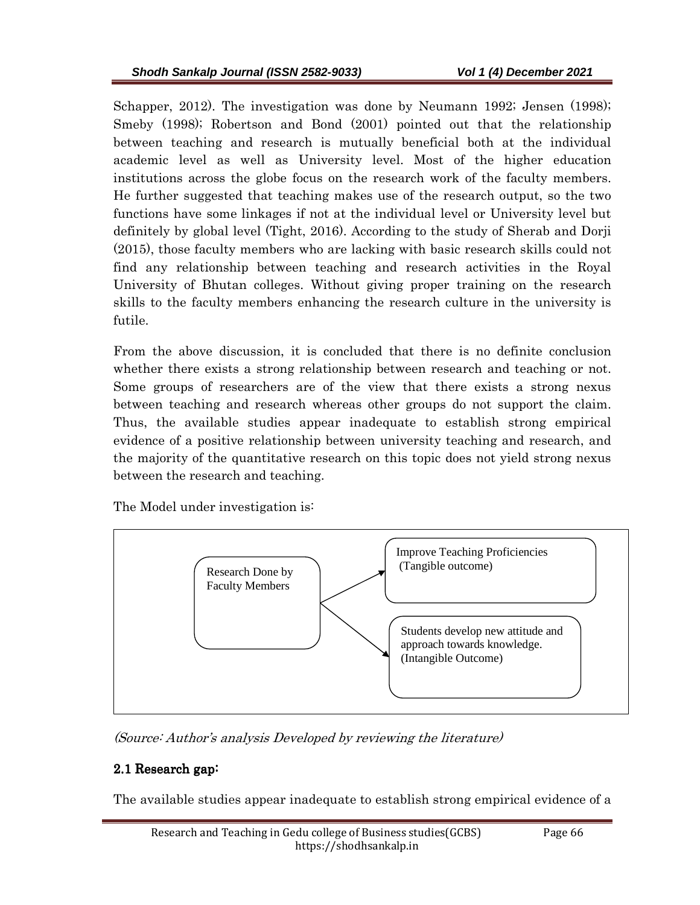Schapper, 2012). The investigation was done by Neumann 1992; Jensen (1998); Smeby (1998); Robertson and Bond (2001) pointed out that the relationship between teaching and research is mutually beneficial both at the individual academic level as well as University level. Most of the higher education institutions across the globe focus on the research work of the faculty members. He further suggested that teaching makes use of the research output, so the two functions have some linkages if not at the individual level or University level but definitely by global level (Tight, 2016). According to the study of Sherab and Dorji (2015), those faculty members who are lacking with basic research skills could not find any relationship between teaching and research activities in the Royal University of Bhutan colleges. Without giving proper training on the research skills to the faculty members enhancing the research culture in the university is futile.

From the above discussion, it is concluded that there is no definite conclusion whether there exists a strong relationship between research and teaching or not. Some groups of researchers are of the view that there exists a strong nexus between teaching and research whereas other groups do not support the claim. Thus, the available studies appear inadequate to establish strong empirical evidence of a positive relationship between university teaching and research, and the majority of the quantitative research on this topic does not yield strong nexus between the research and teaching.

The Model under investigation is:



(Source: Author's analysis Developed by reviewing the literature)

# 2.1 Research gap:

The available studies appear inadequate to establish strong empirical evidence of a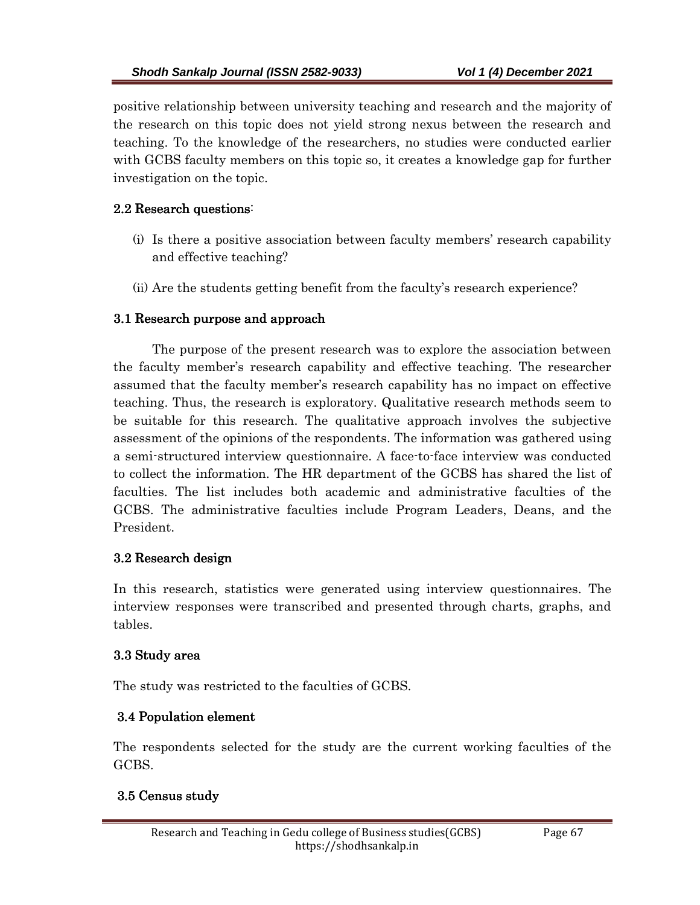positive relationship between university teaching and research and the majority of the research on this topic does not yield strong nexus between the research and teaching. To the knowledge of the researchers, no studies were conducted earlier with GCBS faculty members on this topic so, it creates a knowledge gap for further investigation on the topic.

# $2.2$  Research questions:

- (i) Is there a positive association between faculty members' research capability and effective teaching?
- (ii) Are the students getting benefit from the faculty's research experience?

# 3.1 Research purpose and approach

The purpose of the present research was to explore the association between the faculty member's research capability and effective teaching. The researcher assumed that the faculty member's research capability has no impact on effective teaching. Thus, the research is exploratory. Qualitative research methods seem to be suitable for this research. The qualitative approach involves the subjective assessment of the opinions of the respondents. The information was gathered using a semi-structured interview questionnaire. A face-to-face interview was conducted to collect the information. The HR department of the GCBS has shared the list of faculties. The list includes both academic and administrative faculties of the GCBS. The administrative faculties include Program Leaders, Deans, and the President.

# 3.2 Research design

In this research, statistics were generated using interview questionnaires. The interview responses were transcribed and presented through charts, graphs, and tables.

## 3.3 Study area

The study was restricted to the faculties of GCBS.

# 3.4 Population element

The respondents selected for the study are the current working faculties of the GCBS.

## 3.5 Census study .5 Census study .5 Census study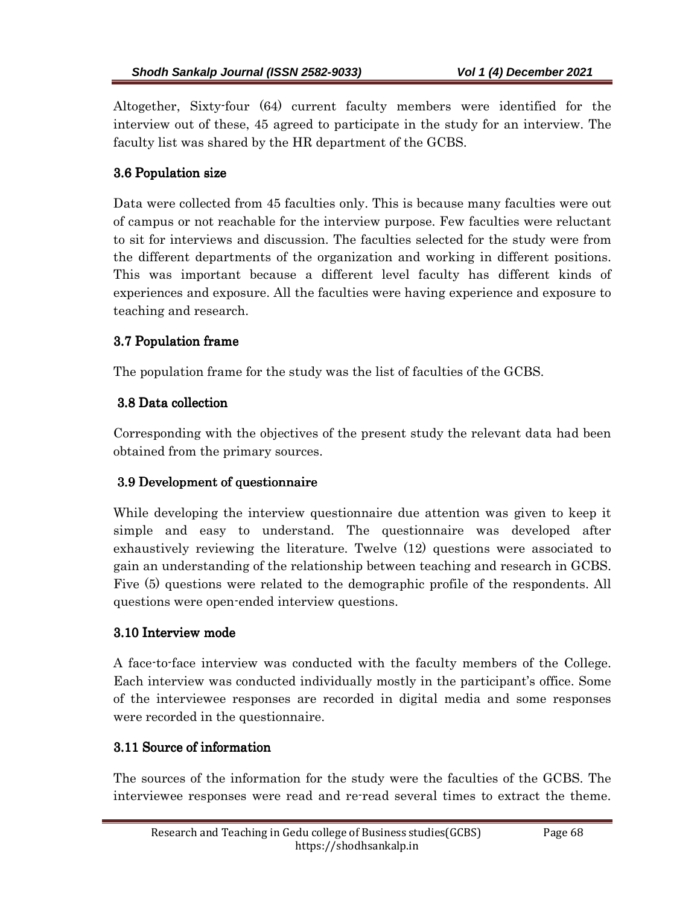Altogether, Sixty-four (64) current faculty members were identified for the interview out of these, 45 agreed to participate in the study for an interview. The faculty list was shared by the HR department of the GCBS.

# 3.6 Population size

Data were collected from 45 faculties only. This is because many faculties were out of campus or not reachable for the interview purpose. Few faculties were reluctant to sit for interviews and discussion. The faculties selected for the study were from the different departments of the organization and working in different positions. This was important because a different level faculty has different kinds of experiences and exposure. All the faculties were having experience and exposure to teaching and research.

# 3.7 Population frame

The population frame for the study was the list of faculties of the GCBS.

# 3.8 Data collection 3.8 Data collection 3.8 collection

Corresponding with the objectives of the present study the relevant data had been obtained from the primary sources.

# 3.9 Development of questionnaire

While developing the interview questionnaire due attention was given to keep it simple and easy to understand. The questionnaire was developed after exhaustively reviewing the literature. Twelve (12) questions were associated to gain an understanding of the relationship between teaching and research in GCBS. Five (5) questions were related to the demographic profile of the respondents. All questions were open-ended interview questions.

## 3.10 Interview mode 3.10 Interview mode

A face-to-face interview was conducted with the faculty members of the College. Each interview was conducted individually mostly in the participant's office. Some of the interviewee responses are recorded in digital media and some responses were recorded in the questionnaire.

## 3.11 Source of information

The sources of the information for the study were the faculties of the GCBS. The interviewee responses were read and re-read several times to extract the theme.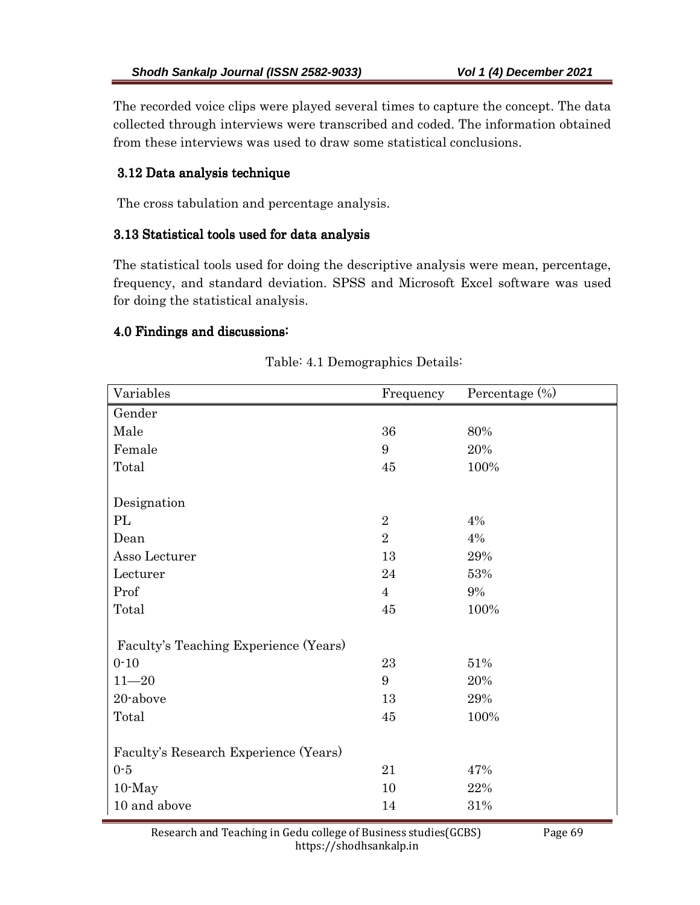The recorded voice clips were played several times to capture the concept. The data collected through interviews were transcribed and coded. The information obtained from these interviews was used to draw some statistical conclusions.

# 3.12 Data analysis technique 3.12 Data analysis technique

The cross tabulation and percentage analysis.

#### 3.13 Statistical tools used for data analysis 3.13 Statistical tools used for data analysis

The statistical tools used for doing the descriptive analysis were mean, percentage, frequency, and standard deviation. SPSS and Microsoft Excel software was used for doing the statistical analysis.

### 4.0 Findings and discussions:

| Variables                             | Frequency      | Percentage (%) |
|---------------------------------------|----------------|----------------|
| Gender                                |                |                |
| Male                                  | 36             | 80%            |
| Female                                | 9              | 20%            |
| Total                                 | 45             | 100%           |
|                                       |                |                |
| Designation                           |                |                |
| PL                                    | $\overline{2}$ | 4%             |
| Dean                                  | $\overline{2}$ | 4%             |
| Asso Lecturer                         | 13             | 29%            |
| Lecturer                              | 24             | 53%            |
| Prof                                  | $\overline{4}$ | 9%             |
| Total                                 | 45             | 100%           |
|                                       |                |                |
| Faculty's Teaching Experience (Years) |                |                |
| $0 - 10$                              | 23             | 51%            |
| $11 - 20$                             | 9              | 20%            |
| 20-above                              | 13             | 29%            |
| Total                                 | 45             | 100%           |
|                                       |                |                |
| Faculty's Research Experience (Years) |                |                |
| $0-5$                                 | 21             | 47%            |
| $10$ -May                             | 10             | 22%            |
| 10 and above                          | 14             | 31%            |

### Table: 4.1 Demographics Details:

Research and Teaching in Gedu college of Business studies(GCBS) Page 69 https://shodhsankalp.in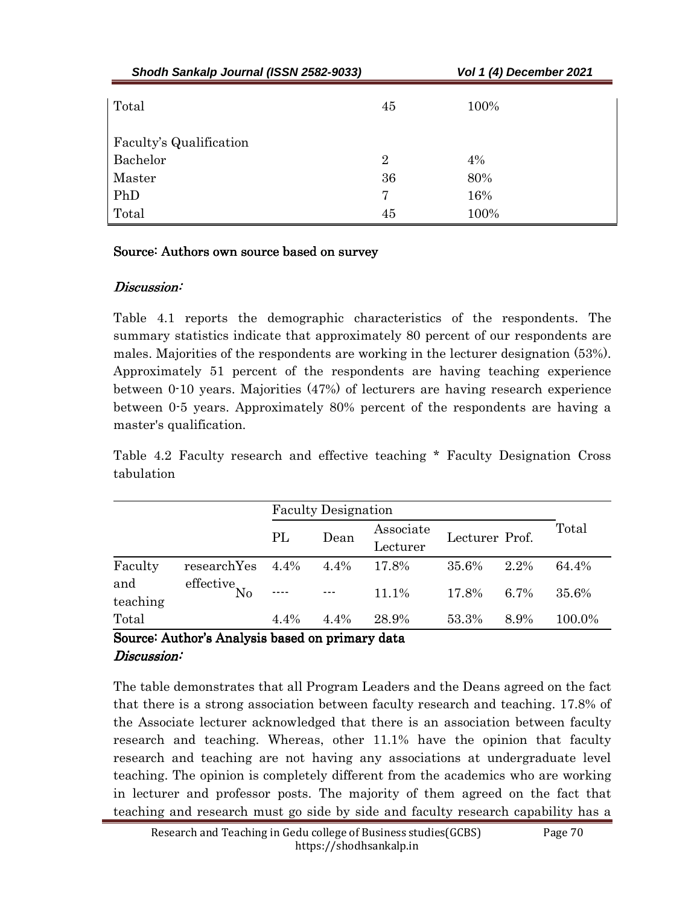| Shodh Sankalp Journal (ISSN 2582-9033) |                | Vol 1 (4) December 2021 |  |  |  |
|----------------------------------------|----------------|-------------------------|--|--|--|
| Total                                  | 45             | 100%                    |  |  |  |
| Faculty's Qualification                |                |                         |  |  |  |
| Bachelor                               | $\overline{2}$ | 4%                      |  |  |  |
| Master                                 | 36             | 80%                     |  |  |  |
| PhD                                    | 7              | 16%                     |  |  |  |
| Total                                  | 45             | 100%                    |  |  |  |

### Source: Authors own source based on survey

## Discussion:

Table 4.1 reports the demographic characteristics of the respondents. The summary statistics indicate that approximately 80 percent of our respondents are males. Majorities of the respondents are working in the lecturer designation (53%). Approximately 51 percent of the respondents are having teaching experience between 0-10 years. Majorities (47%) of lecturers are having research experience between 0-5 years. Approximately 80% percent of the respondents are having a master's qualification.

Table 4.2 Faculty research and effective teaching \* Faculty Designation Cross tabulation

|                 |                                              | <b>Faculty Designation</b> |         |                       |                |      |        |
|-----------------|----------------------------------------------|----------------------------|---------|-----------------------|----------------|------|--------|
|                 |                                              | PL                         | Dean    | Associate<br>Lecturer | Lecturer Prof. |      | Total  |
| Faculty         | researchYes                                  | 4.4%                       | 4.4%    | 17.8%                 | 35.6%          | 2.2% | 64.4%  |
| and<br>teaching | effective $\stackrel{\text{def}}{\text{No}}$ | ----                       | $- - -$ | $11.1\%$              | 17.8%          | 6.7% | 35.6%  |
| Total           |                                              | $4.4\%$                    | $4.4\%$ | 28.9%                 | 53.3%          | 8.9% | 100.0% |

# Source: Author's Analysis based on primary data Discussion:

The table demonstrates that all Program Leaders and the Deans agreed on the fact that there is a strong association between faculty research and teaching. 17.8% of the Associate lecturer acknowledged that there is an association between faculty research and teaching. Whereas, other 11.1% have the opinion that faculty research and teaching are not having any associations at undergraduate level teaching. The opinion is completely different from the academics who are working in lecturer and professor posts. The majority of them agreed on the fact that teaching and research must go side by side and faculty research capability has a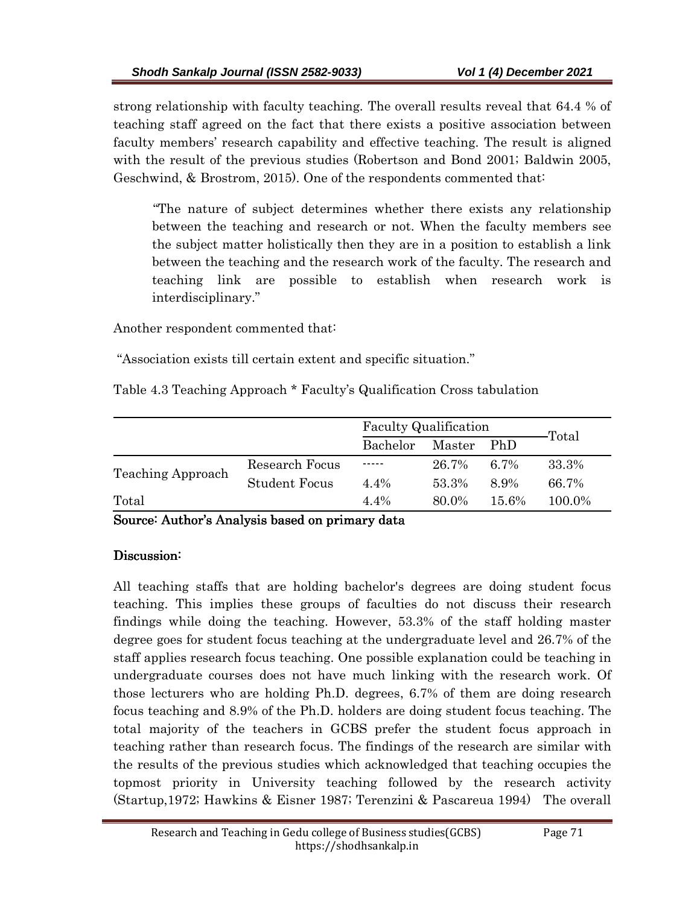strong relationship with faculty teaching. The overall results reveal that 64.4 % of teaching staff agreed on the fact that there exists a positive association between faculty members' research capability and effective teaching. The result is aligned with the result of the previous studies (Robertson and Bond 2001; Baldwin 2005, Geschwind, & Brostrom, 2015). One of the respondents commented that:

 "The nature of subject determines whether there exists any relationship between the teaching and research or not. When the faculty members see the subject matter holistically then they are in a position to establish a link between the teaching and the research work of the faculty. The research and teaching link are possible to establish when research work is interdisciplinary."

Another respondent commented that:

"Association exists till certain extent and specific situation."

Table 4.3 Teaching Approach \* Faculty's Qualification Cross tabulation

|                          |                      | Faculty Qualification |        |            |        |  |
|--------------------------|----------------------|-----------------------|--------|------------|--------|--|
|                          |                      | Bachelor              | Master | <b>PhD</b> | Total  |  |
| <b>Teaching Approach</b> | Research Focus       | -----                 | 26.7%  | 67%        | 33.3%  |  |
|                          | <b>Student Focus</b> | $4.4\%$               | 53.3%  | 8.9%       | 66.7%  |  |
| Total                    |                      | $4.4\%$               | 80.0%  | $15.6\%$   | 100.0% |  |

Source: Author's Analysis based on primary data

## Discussion:

All teaching staffs that are holding bachelor's degrees are doing student focus teaching. This implies these groups of faculties do not discuss their research findings while doing the teaching. However, 53.3% of the staff holding master degree goes for student focus teaching at the undergraduate level and 26.7% of the staff applies research focus teaching. One possible explanation could be teaching in undergraduate courses does not have much linking with the research work. Of those lecturers who are holding Ph.D. degrees, 6.7% of them are doing research focus teaching and 8.9% of the Ph.D. holders are doing student focus teaching. The total majority of the teachers in GCBS prefer the student focus approach in teaching rather than research focus. The findings of the research are similar with the results of the previous studies which acknowledged that teaching occupies the topmost priority in University teaching followed by the research activity (Startup,1972; Hawkins & Eisner 1987; Terenzini & Pascareua 1994) The overall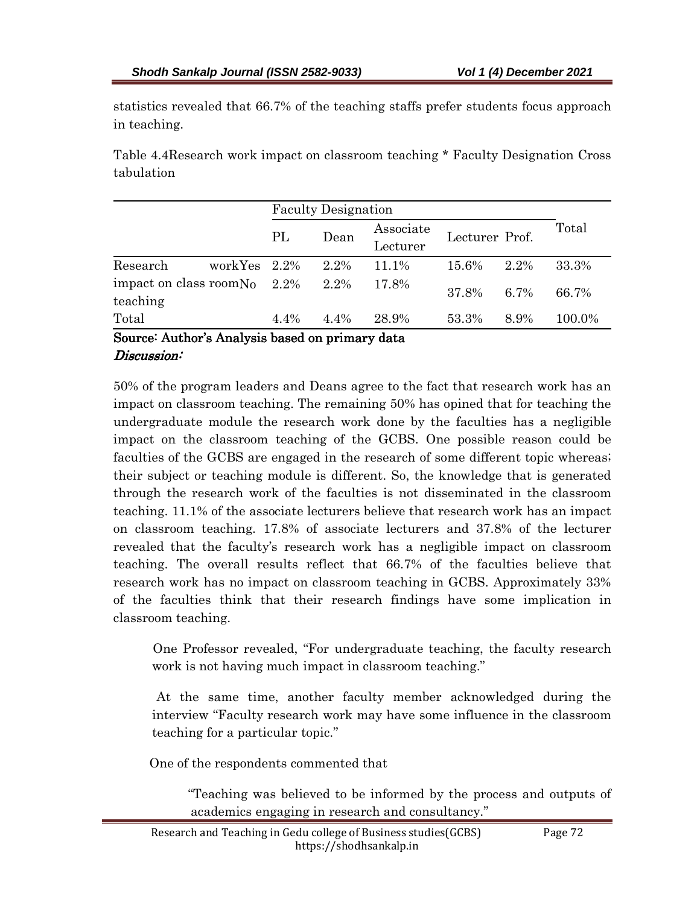statistics revealed that 66.7% of the teaching staffs prefer students focus approach in teaching.

Table 4.4Research work impact on classroom teaching \* Faculty Designation Cross tabulation

|                                     |                 | <b>Faculty Designation</b> |         |                       |                |      |        |  |
|-------------------------------------|-----------------|----------------------------|---------|-----------------------|----------------|------|--------|--|
|                                     |                 | PL                         | Dean    | Associate<br>Lecturer | Lecturer Prof. |      | Total  |  |
| Research                            | workYes $2.2\%$ |                            | 2.2%    | 11.1%                 | 15.6%          | 2.2% | 33.3%  |  |
| impact on class room No<br>teaching |                 | $2.2\%$                    | 2.2%    | 17.8%                 | 37.8%          | 6.7% | 66.7%  |  |
| Total                               |                 | $4.4\%$                    | $4.4\%$ | 28.9%                 | 53.3%          | 8.9% | 100.0% |  |

### Source: Author's Analysis based on primary data Discussion:

50% of the program leaders and Deans agree to the fact that research work has an impact on classroom teaching. The remaining 50% has opined that for teaching the undergraduate module the research work done by the faculties has a negligible impact on the classroom teaching of the GCBS. One possible reason could be faculties of the GCBS are engaged in the research of some different topic whereas; their subject or teaching module is different. So, the knowledge that is generated through the research work of the faculties is not disseminated in the classroom teaching. 11.1% of the associate lecturers believe that research work has an impact on classroom teaching. 17.8% of associate lecturers and 37.8% of the lecturer revealed that the faculty's research work has a negligible impact on classroom teaching. The overall results reflect that 66.7% of the faculties believe that research work has no impact on classroom teaching in GCBS. Approximately 33% of the faculties think that their research findings have some implication in classroom teaching.

 One Professor revealed, "For undergraduate teaching, the faculty research work is not having much impact in classroom teaching."

 At the same time, another faculty member acknowledged during the interview "Faculty research work may have some influence in the classroom teaching for a particular topic."

One of the respondents commented that

 "Teaching was believed to be informed by the process and outputs of academics engaging in research and consultancy."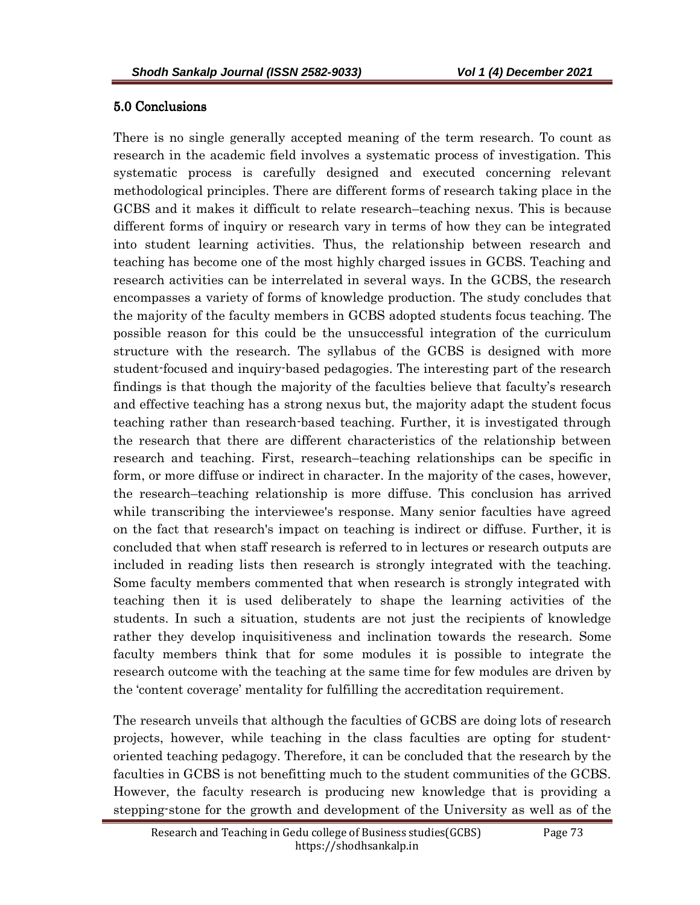### 5.0 Conclusions

There is no single generally accepted meaning of the term research. To count as research in the academic field involves a systematic process of investigation. This systematic process is carefully designed and executed concerning relevant methodological principles. There are different forms of research taking place in the GCBS and it makes it difficult to relate research–teaching nexus. This is because different forms of inquiry or research vary in terms of how they can be integrated into student learning activities. Thus, the relationship between research and teaching has become one of the most highly charged issues in GCBS. Teaching and research activities can be interrelated in several ways. In the GCBS, the research encompasses a variety of forms of knowledge production. The study concludes that the majority of the faculty members in GCBS adopted students focus teaching. The possible reason for this could be the unsuccessful integration of the curriculum structure with the research. The syllabus of the GCBS is designed with more student-focused and inquiry-based pedagogies. The interesting part of the research findings is that though the majority of the faculties believe that faculty's research and effective teaching has a strong nexus but, the majority adapt the student focus teaching rather than research-based teaching. Further, it is investigated through the research that there are different characteristics of the relationship between research and teaching. First, research–teaching relationships can be specific in form, or more diffuse or indirect in character. In the majority of the cases, however, the research–teaching relationship is more diffuse. This conclusion has arrived while transcribing the interviewee's response. Many senior faculties have agreed on the fact that research's impact on teaching is indirect or diffuse. Further, it is concluded that when staff research is referred to in lectures or research outputs are included in reading lists then research is strongly integrated with the teaching. Some faculty members commented that when research is strongly integrated with teaching then it is used deliberately to shape the learning activities of the students. In such a situation, students are not just the recipients of knowledge rather they develop inquisitiveness and inclination towards the research. Some faculty members think that for some modules it is possible to integrate the research outcome with the teaching at the same time for few modules are driven by the 'content coverage' mentality for fulfilling the accreditation requirement.

The research unveils that although the faculties of GCBS are doing lots of research projects, however, while teaching in the class faculties are opting for studentoriented teaching pedagogy. Therefore, it can be concluded that the research by the faculties in GCBS is not benefitting much to the student communities of the GCBS. However, the faculty research is producing new knowledge that is providing a stepping-stone for the growth and development of the University as well as of the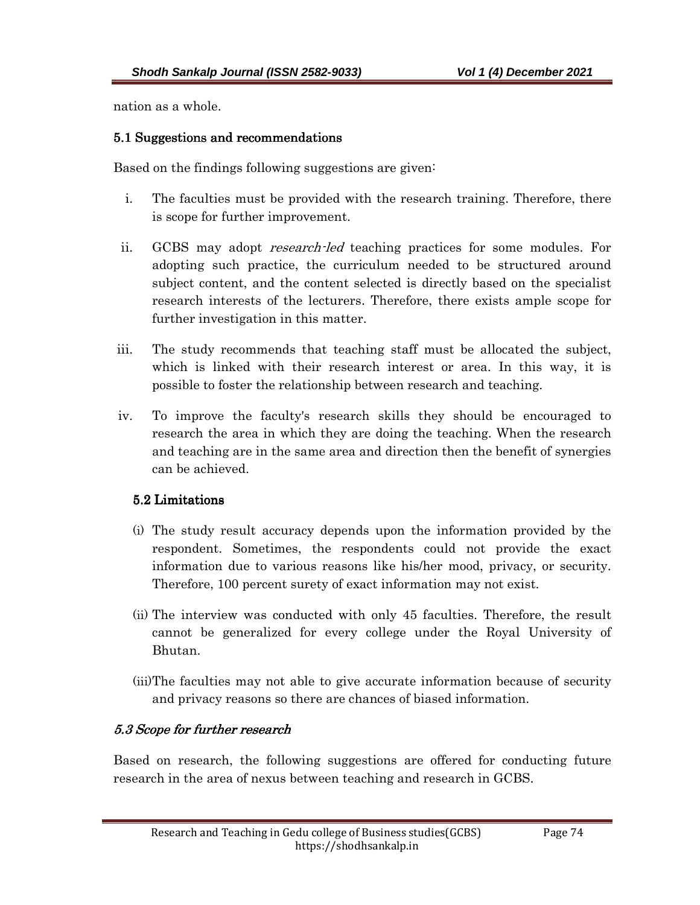nation as a whole.

#### 5.1 Suggestions and recommendations

Based on the findings following suggestions are given:

- i. The faculties must be provided with the research training. Therefore, there is scope for further improvement.
- ii. GCBS may adopt *research-led* teaching practices for some modules. For adopting such practice, the curriculum needed to be structured around subject content, and the content selected is directly based on the specialist research interests of the lecturers. Therefore, there exists ample scope for further investigation in this matter.
- iii. The study recommends that teaching staff must be allocated the subject, which is linked with their research interest or area. In this way, it is possible to foster the relationship between research and teaching.
- iv. To improve the faculty's research skills they should be encouraged to research the area in which they are doing the teaching. When the research and teaching are in the same area and direction then the benefit of synergies can be achieved.

## 5.2 Limitations

- (i) The study result accuracy depends upon the information provided by the respondent. Sometimes, the respondents could not provide the exact information due to various reasons like his/her mood, privacy, or security. Therefore, 100 percent surety of exact information may not exist.
- (ii) The interview was conducted with only 45 faculties. Therefore, the result cannot be generalized for every college under the Royal University of Bhutan.
- (iii)The faculties may not able to give accurate information because of security and privacy reasons so there are chances of biased information.

# 5.3 Scope for further research

Based on research, the following suggestions are offered for conducting future research in the area of nexus between teaching and research in GCBS.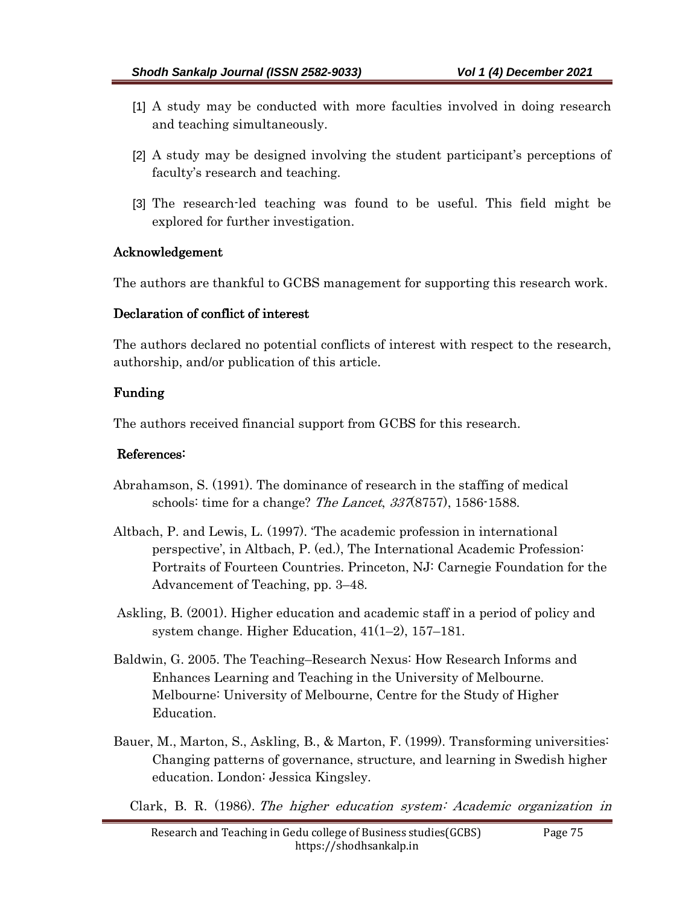- [1] A study may be conducted with more faculties involved in doing research and teaching simultaneously.
- [2] A study may be designed involving the student participant's perceptions of faculty's research and teaching.
- [3] The research-led teaching was found to be useful. This field might be explored for further investigation.

### Acknowledgement

The authors are thankful to GCBS management for supporting this research work.

### Declaration of conflict of interest

The authors declared no potential conflicts of interest with respect to the research, authorship, and/or publication of this article.

## Funding

The authors received financial support from GCBS for this research.

## References:

- Abrahamson, S. (1991). The dominance of research in the staffing of medical schools: time for a change? *The Lancet, 337*(8757), 1586-1588.
- Altbach, P. and Lewis, L. (1997). 'The academic profession in international perspective', in Altbach, P. (ed.), The International Academic Profession: Portraits of Fourteen Countries. Princeton, NJ: Carnegie Foundation for the Advancement of Teaching, pp. 3–48.
- Askling, B. (2001). Higher education and academic staff in a period of policy and system change. Higher Education, 41(1–2), 157–181.
- Baldwin, G. 2005. The Teaching–Research Nexus: How Research Informs and Enhances Learning and Teaching in the University of Melbourne. Melbourne: University of Melbourne, Centre for the Study of Higher Education.
- Bauer, M., Marton, S., Askling, B., & Marton, F. (1999). Transforming universities: Changing patterns of governance, structure, and learning in Swedish higher education. London: Jessica Kingsley.

Clark, B. R. (1986). The higher education system: Academic organization in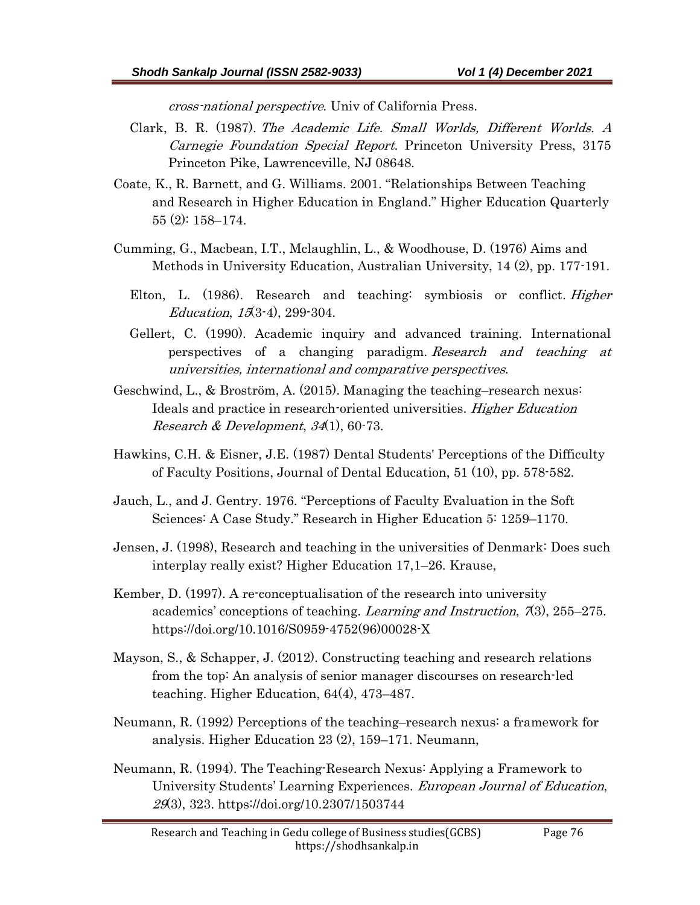cross-national perspective. Univ of California Press.

- Clark, B. R. (1987). The Academic Life. Small Worlds, Different Worlds. A Carnegie Foundation Special Report. Princeton University Press, 3175 Princeton Pike, Lawrenceville, NJ 08648.
- Coate, K., R. Barnett, and G. Williams. 2001. "Relationships Between Teaching and Research in Higher Education in England." Higher Education Quarterly 55 (2): 158–174.
- Cumming, G., Macbean, I.T., Mclaughlin, L., & Woodhouse, D. (1976) Aims and Methods in University Education, Australian University, 14 (2), pp. 177-191.
	- Elton, L. (1986). Research and teaching: symbiosis or conflict. *Higher* Education, 15(3-4), 299-304.
	- Gellert, C. (1990). Academic inquiry and advanced training. International perspectives of a changing paradigm. Research and teaching at universities, international and comparative perspectives.
- Geschwind, L., & Broström, A. (2015). Managing the teaching–research nexus: Ideals and practice in research-oriented universities. Higher Education *Research & Development, 34*(1), 60-73.
- Hawkins, C.H. & Eisner, J.E. (1987) Dental Students' Perceptions of the Difficulty of Faculty Positions, Journal of Dental Education, 51 (10), pp. 578-582.
- Jauch, L., and J. Gentry. 1976. "Perceptions of Faculty Evaluation in the Soft Sciences: A Case Study." Research in Higher Education 5: 1259–1170.
- Jensen, J. (1998), Research and teaching in the universities of Denmark: Does such interplay really exist? Higher Education 17,1–26. Krause,
- Kember, D. (1997). A re-conceptualisation of the research into university academics' conceptions of teaching. Learning and Instruction, 7(3), 255–275. https://doi.org/10.1016/S0959-4752(96)00028-X
- Mayson, S., & Schapper, J. (2012). Constructing teaching and research relations from the top: An analysis of senior manager discourses on research-led teaching. Higher Education, 64(4), 473–487.
- Neumann, R. (1992) Perceptions of the teaching–research nexus: a framework for analysis. Higher Education 23 (2), 159–171. Neumann,
- Neumann, R. (1994). The Teaching-Research Nexus: Applying a Framework to University Students' Learning Experiences. European Journal of Education, 29(3), 323. https://doi.org/10.2307/1503744